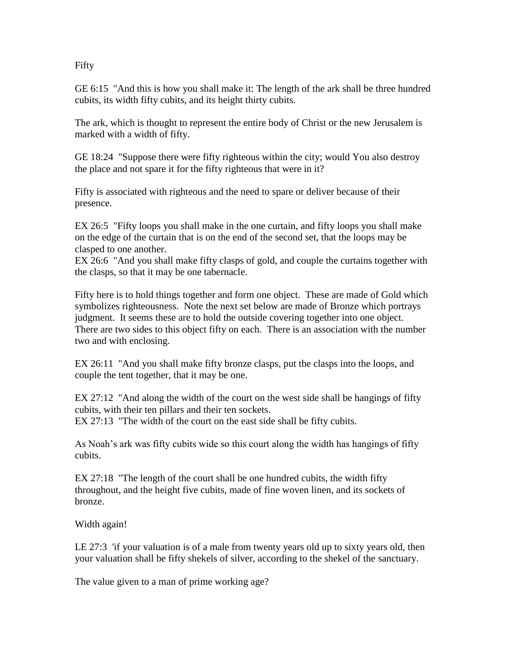## Fifty

GE 6:15 "And this is how you shall make it: The length of the ark shall be three hundred cubits, its width fifty cubits, and its height thirty cubits.

The ark, which is thought to represent the entire body of Christ or the new Jerusalem is marked with a width of fifty.

GE 18:24 "Suppose there were fifty righteous within the city; would You also destroy the place and not spare it for the fifty righteous that were in it?

Fifty is associated with righteous and the need to spare or deliver because of their presence.

EX 26:5 "Fifty loops you shall make in the one curtain, and fifty loops you shall make on the edge of the curtain that is on the end of the second set, that the loops may be clasped to one another.

EX 26:6 "And you shall make fifty clasps of gold, and couple the curtains together with the clasps, so that it may be one tabernacle.

Fifty here is to hold things together and form one object. These are made of Gold which symbolizes righteousness. Note the next set below are made of Bronze which portrays judgment. It seems these are to hold the outside covering together into one object. There are two sides to this object fifty on each. There is an association with the number two and with enclosing.

EX 26:11 "And you shall make fifty bronze clasps, put the clasps into the loops, and couple the tent together, that it may be one.

EX 27:12 "And along the width of the court on the west side shall be hangings of fifty cubits, with their ten pillars and their ten sockets.

EX 27:13 "The width of the court on the east side shall be fifty cubits.

As Noah's ark was fifty cubits wide so this court along the width has hangings of fifty cubits.

EX 27:18 "The length of the court shall be one hundred cubits, the width fifty throughout, and the height five cubits, made of fine woven linen, and its sockets of bronze.

Width again!

LE 27:3 'if your valuation is of a male from twenty years old up to sixty years old, then your valuation shall be fifty shekels of silver, according to the shekel of the sanctuary.

The value given to a man of prime working age?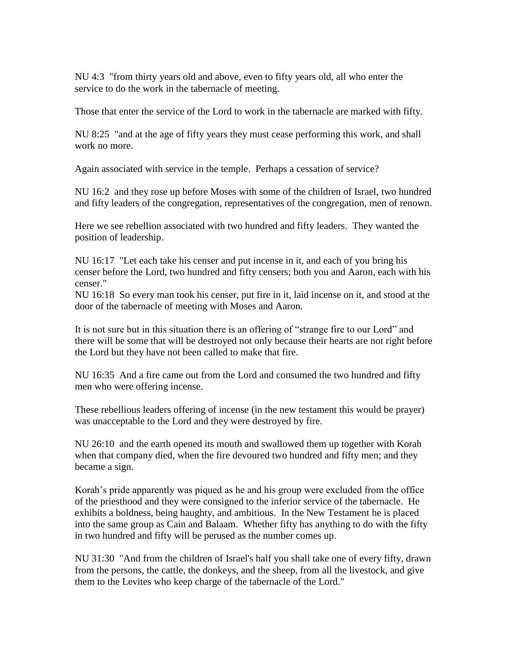NU 4:3 "from thirty years old and above, even to fifty years old, all who enter the service to do the work in the tabernacle of meeting.

Those that enter the service of the Lord to work in the tabernacle are marked with fifty.

NU 8:25 "and at the age of fifty years they must cease performing this work, and shall work no more.

Again associated with service in the temple. Perhaps a cessation of service?

NU 16:2 and they rose up before Moses with some of the children of Israel, two hundred and fifty leaders of the congregation, representatives of the congregation, men of renown.

Here we see rebellion associated with two hundred and fifty leaders. They wanted the position of leadership.

NU 16:17 "Let each take his censer and put incense in it, and each of you bring his censer before the Lord, two hundred and fifty censers; both you and Aaron, each with his censer."

NU 16:18 So every man took his censer, put fire in it, laid incense on it, and stood at the door of the tabernacle of meeting with Moses and Aaron.

It is not sure but in this situation there is an offering of "strange fire to our Lord" and there will be some that will be destroyed not only because their hearts are not right before the Lord but they have not been called to make that fire.

NU 16:35 And a fire came out from the Lord and consumed the two hundred and fifty men who were offering incense.

These rebellious leaders offering of incense (in the new testament this would be prayer) was unacceptable to the Lord and they were destroyed by fire.

NU 26:10 and the earth opened its mouth and swallowed them up together with Korah when that company died, when the fire devoured two hundred and fifty men; and they became a sign.

Korah's pride apparently was piqued as he and his group were excluded from the office of the priesthood and they were consigned to the inferior service of the tabernacle. He exhibits a boldness, being haughty, and ambitious. In the New Testament he is placed into the same group as Cain and Balaam. Whether fifty has anything to do with the fifty in two hundred and fifty will be perused as the number comes up.

NU 31:30 "And from the children of Israel's half you shall take one of every fifty, drawn from the persons, the cattle, the donkeys, and the sheep, from all the livestock, and give them to the Levites who keep charge of the tabernacle of the Lord."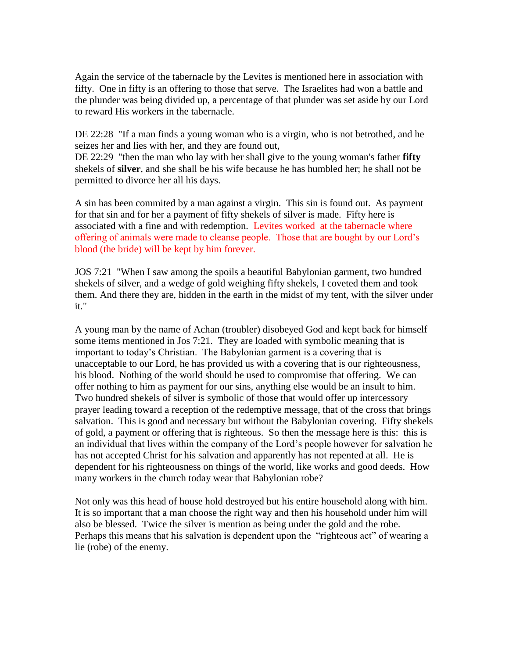Again the service of the tabernacle by the Levites is mentioned here in association with fifty. One in fifty is an offering to those that serve. The Israelites had won a battle and the plunder was being divided up, a percentage of that plunder was set aside by our Lord to reward His workers in the tabernacle.

DE 22:28 "If a man finds a young woman who is a virgin, who is not betrothed, and he seizes her and lies with her, and they are found out,

DE 22:29 "then the man who lay with her shall give to the young woman's father **fifty** shekels of **silver**, and she shall be his wife because he has humbled her; he shall not be permitted to divorce her all his days.

A sin has been commited by a man against a virgin. This sin is found out. As payment for that sin and for her a payment of fifty shekels of silver is made. Fifty here is associated with a fine and with redemption. Levites worked at the tabernacle where offering of animals were made to cleanse people. Those that are bought by our Lord's blood (the bride) will be kept by him forever.

JOS 7:21 "When I saw among the spoils a beautiful Babylonian garment, two hundred shekels of silver, and a wedge of gold weighing fifty shekels, I coveted them and took them. And there they are, hidden in the earth in the midst of my tent, with the silver under it."

A young man by the name of Achan (troubler) disobeyed God and kept back for himself some items mentioned in Jos 7:21. They are loaded with symbolic meaning that is important to today's Christian. The Babylonian garment is a covering that is unacceptable to our Lord, he has provided us with a covering that is our righteousness, his blood. Nothing of the world should be used to compromise that offering. We can offer nothing to him as payment for our sins, anything else would be an insult to him. Two hundred shekels of silver is symbolic of those that would offer up intercessory prayer leading toward a reception of the redemptive message, that of the cross that brings salvation. This is good and necessary but without the Babylonian covering. Fifty shekels of gold, a payment or offering that is righteous. So then the message here is this: this is an individual that lives within the company of the Lord's people however for salvation he has not accepted Christ for his salvation and apparently has not repented at all. He is dependent for his righteousness on things of the world, like works and good deeds. How many workers in the church today wear that Babylonian robe?

Not only was this head of house hold destroyed but his entire household along with him. It is so important that a man choose the right way and then his household under him will also be blessed. Twice the silver is mention as being under the gold and the robe. Perhaps this means that his salvation is dependent upon the "righteous act" of wearing a lie (robe) of the enemy.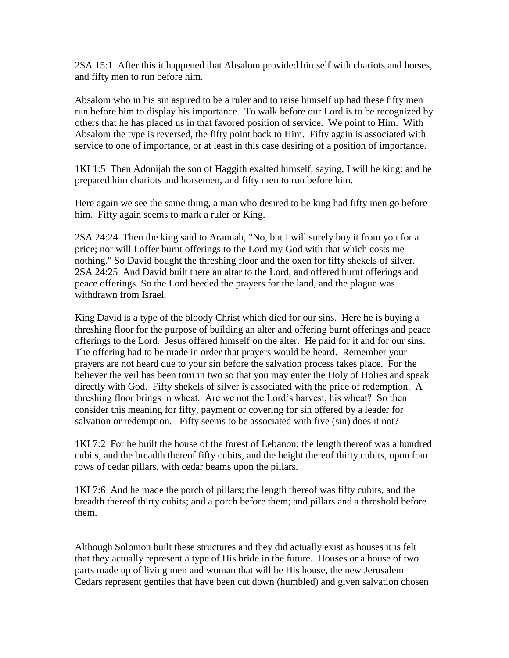2SA 15:1 After this it happened that Absalom provided himself with chariots and horses, and fifty men to run before him.

Absalom who in his sin aspired to be a ruler and to raise himself up had these fifty men run before him to display his importance. To walk before our Lord is to be recognized by others that he has placed us in that favored position of service. We point to Him. With Absalom the type is reversed, the fifty point back to Him. Fifty again is associated with service to one of importance, or at least in this case desiring of a position of importance.

1KI 1:5 Then Adonijah the son of Haggith exalted himself, saying, I will be king: and he prepared him chariots and horsemen, and fifty men to run before him.

Here again we see the same thing, a man who desired to be king had fifty men go before him. Fifty again seems to mark a ruler or King.

2SA 24:24 Then the king said to Araunah, "No, but I will surely buy it from you for a price; nor will I offer burnt offerings to the Lord my God with that which costs me nothing." So David bought the threshing floor and the oxen for fifty shekels of silver. 2SA 24:25 And David built there an altar to the Lord, and offered burnt offerings and peace offerings. So the Lord heeded the prayers for the land, and the plague was withdrawn from Israel.

King David is a type of the bloody Christ which died for our sins. Here he is buying a threshing floor for the purpose of building an alter and offering burnt offerings and peace offerings to the Lord. Jesus offered himself on the alter. He paid for it and for our sins. The offering had to be made in order that prayers would be heard. Remember your prayers are not heard due to your sin before the salvation process takes place. For the believer the veil has been torn in two so that you may enter the Holy of Holies and speak directly with God. Fifty shekels of silver is associated with the price of redemption. A threshing floor brings in wheat. Are we not the Lord's harvest, his wheat? So then consider this meaning for fifty, payment or covering for sin offered by a leader for salvation or redemption. Fifty seems to be associated with five (sin) does it not?

1KI 7:2 For he built the house of the forest of Lebanon; the length thereof was a hundred cubits, and the breadth thereof fifty cubits, and the height thereof thirty cubits, upon four rows of cedar pillars, with cedar beams upon the pillars.

1KI 7:6 And he made the porch of pillars; the length thereof was fifty cubits, and the breadth thereof thirty cubits; and a porch before them; and pillars and a threshold before them.

Although Solomon built these structures and they did actually exist as houses it is felt that they actually represent a type of His bride in the future. Houses or a house of two parts made up of living men and woman that will be His house, the new Jerusalem Cedars represent gentiles that have been cut down (humbled) and given salvation chosen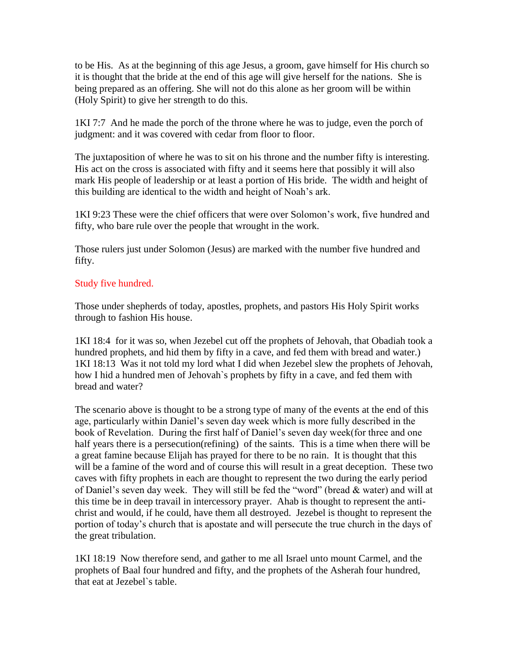to be His. As at the beginning of this age Jesus, a groom, gave himself for His church so it is thought that the bride at the end of this age will give herself for the nations. She is being prepared as an offering. She will not do this alone as her groom will be within (Holy Spirit) to give her strength to do this.

1KI 7:7 And he made the porch of the throne where he was to judge, even the porch of judgment: and it was covered with cedar from floor to floor.

The juxtaposition of where he was to sit on his throne and the number fifty is interesting. His act on the cross is associated with fifty and it seems here that possibly it will also mark His people of leadership or at least a portion of His bride. The width and height of this building are identical to the width and height of Noah's ark.

1KI 9:23 These were the chief officers that were over Solomon's work, five hundred and fifty, who bare rule over the people that wrought in the work.

Those rulers just under Solomon (Jesus) are marked with the number five hundred and fifty.

## Study five hundred.

Those under shepherds of today, apostles, prophets, and pastors His Holy Spirit works through to fashion His house.

1KI 18:4 for it was so, when Jezebel cut off the prophets of Jehovah, that Obadiah took a hundred prophets, and hid them by fifty in a cave, and fed them with bread and water.) 1KI 18:13 Was it not told my lord what I did when Jezebel slew the prophets of Jehovah, how I hid a hundred men of Jehovah`s prophets by fifty in a cave, and fed them with bread and water?

The scenario above is thought to be a strong type of many of the events at the end of this age, particularly within Daniel's seven day week which is more fully described in the book of Revelation. During the first half of Daniel's seven day week(for three and one half years there is a persecution(refining) of the saints. This is a time when there will be a great famine because Elijah has prayed for there to be no rain. It is thought that this will be a famine of the word and of course this will result in a great deception. These two caves with fifty prophets in each are thought to represent the two during the early period of Daniel's seven day week. They will still be fed the "word" (bread & water) and will at this time be in deep travail in intercessory prayer. Ahab is thought to represent the antichrist and would, if he could, have them all destroyed. Jezebel is thought to represent the portion of today's church that is apostate and will persecute the true church in the days of the great tribulation.

1KI 18:19 Now therefore send, and gather to me all Israel unto mount Carmel, and the prophets of Baal four hundred and fifty, and the prophets of the Asherah four hundred, that eat at Jezebel`s table.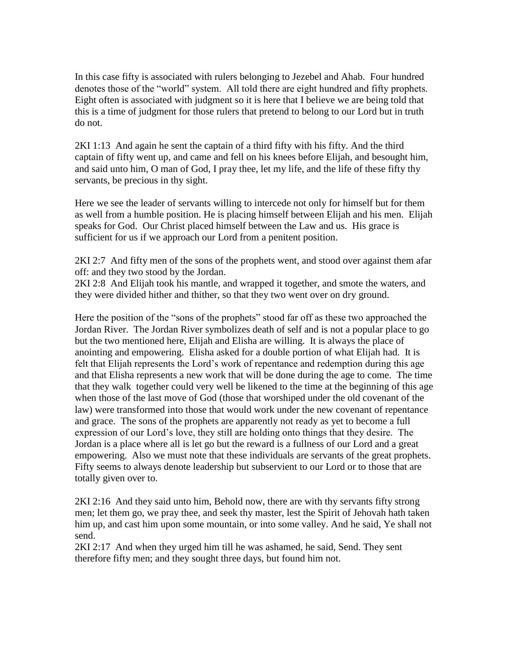In this case fifty is associated with rulers belonging to Jezebel and Ahab. Four hundred denotes those of the "world" system. All told there are eight hundred and fifty prophets. Eight often is associated with judgment so it is here that I believe we are being told that this is a time of judgment for those rulers that pretend to belong to our Lord but in truth do not.

2KI 1:13 And again he sent the captain of a third fifty with his fifty. And the third captain of fifty went up, and came and fell on his knees before Elijah, and besought him, and said unto him, O man of God, I pray thee, let my life, and the life of these fifty thy servants, be precious in thy sight.

Here we see the leader of servants willing to intercede not only for himself but for them as well from a humble position. He is placing himself between Elijah and his men. Elijah speaks for God. Our Christ placed himself between the Law and us. His grace is sufficient for us if we approach our Lord from a penitent position.

2KI 2:7 And fifty men of the sons of the prophets went, and stood over against them afar off: and they two stood by the Jordan.

2KI 2:8 And Elijah took his mantle, and wrapped it together, and smote the waters, and they were divided hither and thither, so that they two went over on dry ground.

Here the position of the "sons of the prophets" stood far off as these two approached the Jordan River. The Jordan River symbolizes death of self and is not a popular place to go but the two mentioned here, Elijah and Elisha are willing. It is always the place of anointing and empowering. Elisha asked for a double portion of what Elijah had. It is felt that Elijah represents the Lord's work of repentance and redemption during this age and that Elisha represents a new work that will be done during the age to come. The time that they walk together could very well be likened to the time at the beginning of this age when those of the last move of God (those that worshiped under the old covenant of the law) were transformed into those that would work under the new covenant of repentance and grace. The sons of the prophets are apparently not ready as yet to become a full expression of our Lord's love, they still are holding onto things that they desire. The Jordan is a place where all is let go but the reward is a fullness of our Lord and a great empowering. Also we must note that these individuals are servants of the great prophets. Fifty seems to always denote leadership but subservient to our Lord or to those that are totally given over to.

2KI 2:16 And they said unto him, Behold now, there are with thy servants fifty strong men; let them go, we pray thee, and seek thy master, lest the Spirit of Jehovah hath taken him up, and cast him upon some mountain, or into some valley. And he said, Ye shall not send.

2KI 2:17 And when they urged him till he was ashamed, he said, Send. They sent therefore fifty men; and they sought three days, but found him not.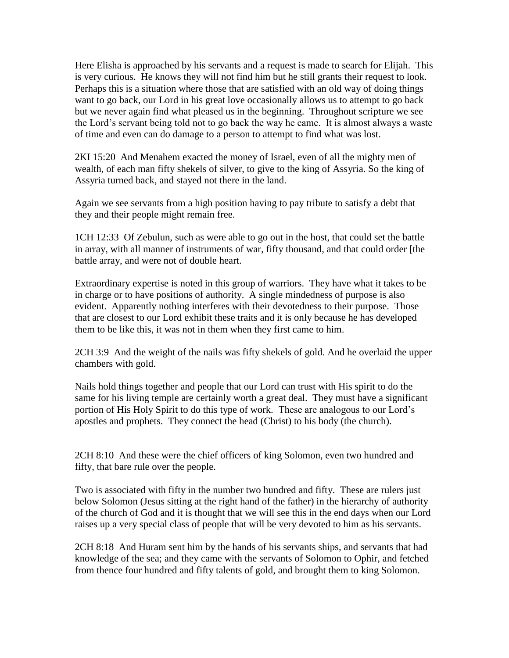Here Elisha is approached by his servants and a request is made to search for Elijah. This is very curious. He knows they will not find him but he still grants their request to look. Perhaps this is a situation where those that are satisfied with an old way of doing things want to go back, our Lord in his great love occasionally allows us to attempt to go back but we never again find what pleased us in the beginning. Throughout scripture we see the Lord's servant being told not to go back the way he came. It is almost always a waste of time and even can do damage to a person to attempt to find what was lost.

2KI 15:20 And Menahem exacted the money of Israel, even of all the mighty men of wealth, of each man fifty shekels of silver, to give to the king of Assyria. So the king of Assyria turned back, and stayed not there in the land.

Again we see servants from a high position having to pay tribute to satisfy a debt that they and their people might remain free.

1CH 12:33 Of Zebulun, such as were able to go out in the host, that could set the battle in array, with all manner of instruments of war, fifty thousand, and that could order [the battle array, and were not of double heart.

Extraordinary expertise is noted in this group of warriors. They have what it takes to be in charge or to have positions of authority. A single mindedness of purpose is also evident. Apparently nothing interferes with their devotedness to their purpose. Those that are closest to our Lord exhibit these traits and it is only because he has developed them to be like this, it was not in them when they first came to him.

2CH 3:9 And the weight of the nails was fifty shekels of gold. And he overlaid the upper chambers with gold.

Nails hold things together and people that our Lord can trust with His spirit to do the same for his living temple are certainly worth a great deal. They must have a significant portion of His Holy Spirit to do this type of work. These are analogous to our Lord's apostles and prophets. They connect the head (Christ) to his body (the church).

2CH 8:10 And these were the chief officers of king Solomon, even two hundred and fifty, that bare rule over the people.

Two is associated with fifty in the number two hundred and fifty. These are rulers just below Solomon (Jesus sitting at the right hand of the father) in the hierarchy of authority of the church of God and it is thought that we will see this in the end days when our Lord raises up a very special class of people that will be very devoted to him as his servants.

2CH 8:18 And Huram sent him by the hands of his servants ships, and servants that had knowledge of the sea; and they came with the servants of Solomon to Ophir, and fetched from thence four hundred and fifty talents of gold, and brought them to king Solomon.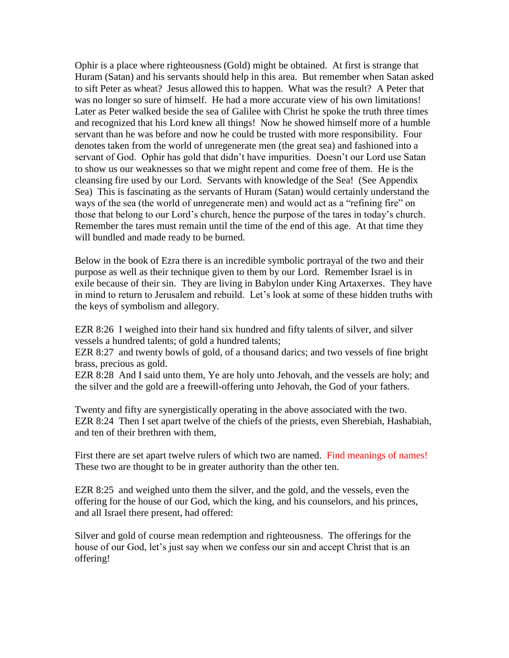Ophir is a place where righteousness (Gold) might be obtained. At first is strange that Huram (Satan) and his servants should help in this area. But remember when Satan asked to sift Peter as wheat? Jesus allowed this to happen. What was the result? A Peter that was no longer so sure of himself. He had a more accurate view of his own limitations! Later as Peter walked beside the sea of Galilee with Christ he spoke the truth three times and recognized that his Lord knew all things! Now he showed himself more of a humble servant than he was before and now he could be trusted with more responsibility. Four denotes taken from the world of unregenerate men (the great sea) and fashioned into a servant of God. Ophir has gold that didn't have impurities. Doesn't our Lord use Satan to show us our weaknesses so that we might repent and come free of them. He is the cleansing fire used by our Lord. Servants with knowledge of the Sea! (See Appendix Sea) This is fascinating as the servants of Huram (Satan) would certainly understand the ways of the sea (the world of unregenerate men) and would act as a "refining fire" on those that belong to our Lord's church, hence the purpose of the tares in today's church. Remember the tares must remain until the time of the end of this age. At that time they will bundled and made ready to be burned.

Below in the book of Ezra there is an incredible symbolic portrayal of the two and their purpose as well as their technique given to them by our Lord. Remember Israel is in exile because of their sin. They are living in Babylon under King Artaxerxes. They have in mind to return to Jerusalem and rebuild. Let's look at some of these hidden truths with the keys of symbolism and allegory.

EZR 8:26 I weighed into their hand six hundred and fifty talents of silver, and silver vessels a hundred talents; of gold a hundred talents;

EZR 8:27 and twenty bowls of gold, of a thousand darics; and two vessels of fine bright brass, precious as gold.

EZR 8:28 And I said unto them, Ye are holy unto Jehovah, and the vessels are holy; and the silver and the gold are a freewill-offering unto Jehovah, the God of your fathers.

Twenty and fifty are synergistically operating in the above associated with the two. EZR 8:24 Then I set apart twelve of the chiefs of the priests, even Sherebiah, Hashabiah, and ten of their brethren with them,

First there are set apart twelve rulers of which two are named. Find meanings of names! These two are thought to be in greater authority than the other ten.

EZR 8:25 and weighed unto them the silver, and the gold, and the vessels, even the offering for the house of our God, which the king, and his counselors, and his princes, and all Israel there present, had offered:

Silver and gold of course mean redemption and righteousness. The offerings for the house of our God, let's just say when we confess our sin and accept Christ that is an offering!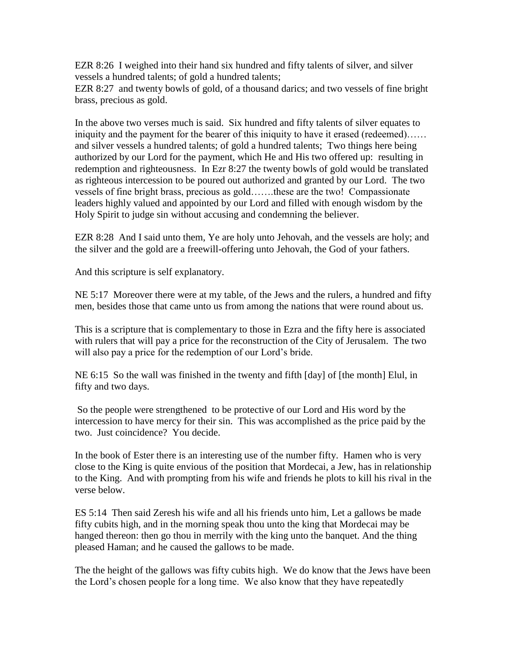EZR 8:26 I weighed into their hand six hundred and fifty talents of silver, and silver vessels a hundred talents; of gold a hundred talents;

EZR 8:27 and twenty bowls of gold, of a thousand darics; and two vessels of fine bright brass, precious as gold.

In the above two verses much is said. Six hundred and fifty talents of silver equates to iniquity and the payment for the bearer of this iniquity to have it erased (redeemed)…… and silver vessels a hundred talents; of gold a hundred talents; Two things here being authorized by our Lord for the payment, which He and His two offered up: resulting in redemption and righteousness. In Ezr 8:27 the twenty bowls of gold would be translated as righteous intercession to be poured out authorized and granted by our Lord. The two vessels of fine bright brass, precious as gold…….these are the two! Compassionate leaders highly valued and appointed by our Lord and filled with enough wisdom by the Holy Spirit to judge sin without accusing and condemning the believer.

EZR 8:28 And I said unto them, Ye are holy unto Jehovah, and the vessels are holy; and the silver and the gold are a freewill-offering unto Jehovah, the God of your fathers.

And this scripture is self explanatory.

NE 5:17 Moreover there were at my table, of the Jews and the rulers, a hundred and fifty men, besides those that came unto us from among the nations that were round about us.

This is a scripture that is complementary to those in Ezra and the fifty here is associated with rulers that will pay a price for the reconstruction of the City of Jerusalem. The two will also pay a price for the redemption of our Lord's bride.

NE 6:15 So the wall was finished in the twenty and fifth [day] of [the month] Elul, in fifty and two days.

So the people were strengthened to be protective of our Lord and His word by the intercession to have mercy for their sin. This was accomplished as the price paid by the two. Just coincidence? You decide.

In the book of Ester there is an interesting use of the number fifty. Hamen who is very close to the King is quite envious of the position that Mordecai, a Jew, has in relationship to the King. And with prompting from his wife and friends he plots to kill his rival in the verse below.

ES 5:14 Then said Zeresh his wife and all his friends unto him, Let a gallows be made fifty cubits high, and in the morning speak thou unto the king that Mordecai may be hanged thereon: then go thou in merrily with the king unto the banquet. And the thing pleased Haman; and he caused the gallows to be made.

The the height of the gallows was fifty cubits high. We do know that the Jews have been the Lord's chosen people for a long time. We also know that they have repeatedly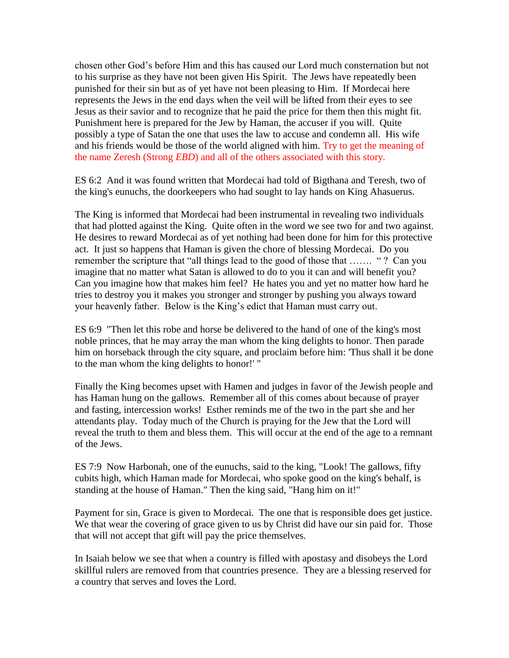chosen other God's before Him and this has caused our Lord much consternation but not to his surprise as they have not been given His Spirit. The Jews have repeatedly been punished for their sin but as of yet have not been pleasing to Him. If Mordecai here represents the Jews in the end days when the veil will be lifted from their eyes to see Jesus as their savior and to recognize that he paid the price for them then this might fit. Punishment here is prepared for the Jew by Haman, the accuser if you will. Quite possibly a type of Satan the one that uses the law to accuse and condemn all. His wife and his friends would be those of the world aligned with him. Try to get the meaning of the name Zeresh (Strong *EBD*) and all of the others associated with this story.

ES 6:2 And it was found written that Mordecai had told of Bigthana and Teresh, two of the king's eunuchs, the doorkeepers who had sought to lay hands on King Ahasuerus.

The King is informed that Mordecai had been instrumental in revealing two individuals that had plotted against the King. Quite often in the word we see two for and two against. He desires to reward Mordecai as of yet nothing had been done for him for this protective act. It just so happens that Haman is given the chore of blessing Mordecai. Do you remember the scripture that "all things lead to the good of those that ....... "? Can you imagine that no matter what Satan is allowed to do to you it can and will benefit you? Can you imagine how that makes him feel? He hates you and yet no matter how hard he tries to destroy you it makes you stronger and stronger by pushing you always toward your heavenly father. Below is the King's edict that Haman must carry out.

ES 6:9 "Then let this robe and horse be delivered to the hand of one of the king's most noble princes, that he may array the man whom the king delights to honor. Then parade him on horseback through the city square, and proclaim before him: 'Thus shall it be done to the man whom the king delights to honor!' "

Finally the King becomes upset with Hamen and judges in favor of the Jewish people and has Haman hung on the gallows. Remember all of this comes about because of prayer and fasting, intercession works! Esther reminds me of the two in the part she and her attendants play. Today much of the Church is praying for the Jew that the Lord will reveal the truth to them and bless them. This will occur at the end of the age to a remnant of the Jews.

ES 7:9 Now Harbonah, one of the eunuchs, said to the king, "Look! The gallows, fifty cubits high, which Haman made for Mordecai, who spoke good on the king's behalf, is standing at the house of Haman." Then the king said, "Hang him on it!"

Payment for sin, Grace is given to Mordecai. The one that is responsible does get justice. We that wear the covering of grace given to us by Christ did have our sin paid for. Those that will not accept that gift will pay the price themselves.

In Isaiah below we see that when a country is filled with apostasy and disobeys the Lord skillful rulers are removed from that countries presence. They are a blessing reserved for a country that serves and loves the Lord.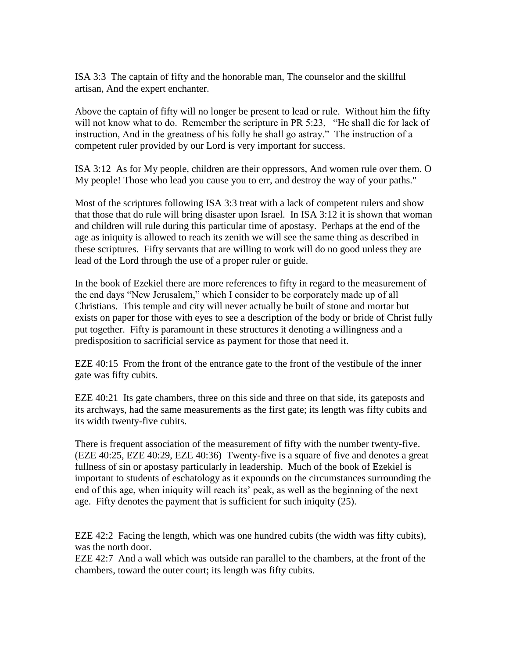ISA 3:3 The captain of fifty and the honorable man, The counselor and the skillful artisan, And the expert enchanter.

Above the captain of fifty will no longer be present to lead or rule. Without him the fifty will not know what to do. Remember the scripture in PR 5:23, "He shall die for lack of instruction, And in the greatness of his folly he shall go astray." The instruction of a competent ruler provided by our Lord is very important for success.

ISA 3:12 As for My people, children are their oppressors, And women rule over them. O My people! Those who lead you cause you to err, and destroy the way of your paths."

Most of the scriptures following ISA 3:3 treat with a lack of competent rulers and show that those that do rule will bring disaster upon Israel. In ISA 3:12 it is shown that woman and children will rule during this particular time of apostasy. Perhaps at the end of the age as iniquity is allowed to reach its zenith we will see the same thing as described in these scriptures. Fifty servants that are willing to work will do no good unless they are lead of the Lord through the use of a proper ruler or guide.

In the book of Ezekiel there are more references to fifty in regard to the measurement of the end days "New Jerusalem," which I consider to be corporately made up of all Christians. This temple and city will never actually be built of stone and mortar but exists on paper for those with eyes to see a description of the body or bride of Christ fully put together. Fifty is paramount in these structures it denoting a willingness and a predisposition to sacrificial service as payment for those that need it.

EZE 40:15 From the front of the entrance gate to the front of the vestibule of the inner gate was fifty cubits.

EZE 40:21 Its gate chambers, three on this side and three on that side, its gateposts and its archways, had the same measurements as the first gate; its length was fifty cubits and its width twenty-five cubits.

There is frequent association of the measurement of fifty with the number twenty-five. (EZE 40:25, EZE 40:29, EZE 40:36) Twenty-five is a square of five and denotes a great fullness of sin or apostasy particularly in leadership. Much of the book of Ezekiel is important to students of eschatology as it expounds on the circumstances surrounding the end of this age, when iniquity will reach its' peak, as well as the beginning of the next age. Fifty denotes the payment that is sufficient for such iniquity (25).

EZE 42:2 Facing the length, which was one hundred cubits (the width was fifty cubits), was the north door.

EZE 42:7 And a wall which was outside ran parallel to the chambers, at the front of the chambers, toward the outer court; its length was fifty cubits.